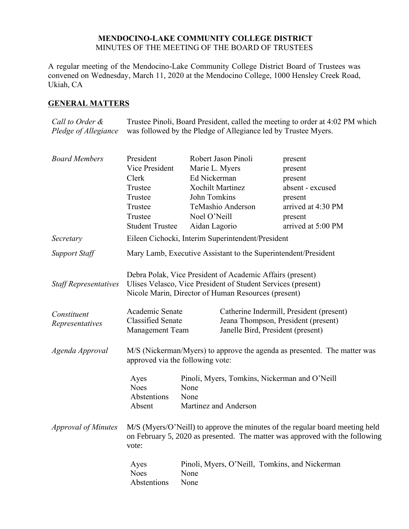## **MENDOCINO-LAKE COMMUNITY COLLEGE DISTRICT** MINUTES OF THE MEETING OF THE BOARD OF TRUSTEES

A regular meeting of the Mendocino-Lake Community College District Board of Trustees was convened on Wednesday, March 11, 2020 at the Mendocino College, 1000 Hensley Creek Road, Ukiah, CA

# **GENERAL MATTERS**

*Call to Order & Pledge of Allegiance* Trustee Pinoli, Board President, called the meeting to order at 4:02 PM which was followed by the Pledge of Allegiance led by Trustee Myers.

| <b>Board Members</b>         | President                                                                                                    | Robert Jason Pinoli                                                                                                                                                              | present                                                                                                                                                      |
|------------------------------|--------------------------------------------------------------------------------------------------------------|----------------------------------------------------------------------------------------------------------------------------------------------------------------------------------|--------------------------------------------------------------------------------------------------------------------------------------------------------------|
|                              | Vice President                                                                                               | Marie L. Myers                                                                                                                                                                   | present                                                                                                                                                      |
|                              | Clerk                                                                                                        | Ed Nickerman                                                                                                                                                                     | present                                                                                                                                                      |
|                              | Trustee                                                                                                      | <b>Xochilt Martinez</b>                                                                                                                                                          | absent - excused                                                                                                                                             |
|                              | Trustee                                                                                                      | John Tomkins                                                                                                                                                                     | present                                                                                                                                                      |
|                              | Trustee                                                                                                      | TeMashio Anderson                                                                                                                                                                | arrived at 4:30 PM                                                                                                                                           |
|                              | Trustee                                                                                                      | Noel O'Neill                                                                                                                                                                     | present                                                                                                                                                      |
|                              | <b>Student Trustee</b>                                                                                       | Aidan Lagorio                                                                                                                                                                    | arrived at 5:00 PM                                                                                                                                           |
| Secretary                    |                                                                                                              | Eileen Cichocki, Interim Superintendent/President                                                                                                                                |                                                                                                                                                              |
| <b>Support Staff</b>         | Mary Lamb, Executive Assistant to the Superintendent/President                                               |                                                                                                                                                                                  |                                                                                                                                                              |
| <b>Staff Representatives</b> |                                                                                                              | Debra Polak, Vice President of Academic Affairs (present)<br>Ulises Velasco, Vice President of Student Services (present)<br>Nicole Marin, Director of Human Resources (present) |                                                                                                                                                              |
| Constituent                  | Academic Senate                                                                                              |                                                                                                                                                                                  | Catherine Indermill, President (present)                                                                                                                     |
| Representatives              | <b>Classified Senate</b>                                                                                     |                                                                                                                                                                                  | Jeana Thompson, President (present)                                                                                                                          |
|                              | <b>Management Team</b>                                                                                       |                                                                                                                                                                                  | Janelle Bird, President (present)                                                                                                                            |
| Agenda Approval              | M/S (Nickerman/Myers) to approve the agenda as presented. The matter was<br>approved via the following vote: |                                                                                                                                                                                  |                                                                                                                                                              |
|                              | Ayes                                                                                                         |                                                                                                                                                                                  | Pinoli, Myers, Tomkins, Nickerman and O'Neill                                                                                                                |
|                              | <b>Noes</b>                                                                                                  | None                                                                                                                                                                             |                                                                                                                                                              |
|                              | Abstentions                                                                                                  | None                                                                                                                                                                             |                                                                                                                                                              |
|                              | Absent                                                                                                       | Martinez and Anderson                                                                                                                                                            |                                                                                                                                                              |
| <b>Approval of Minutes</b>   | vote:                                                                                                        |                                                                                                                                                                                  | M/S (Myers/O'Neill) to approve the minutes of the regular board meeting held<br>on February 5, 2020 as presented. The matter was approved with the following |
|                              | Ayes<br><b>Noes</b><br>Abstentions                                                                           | None<br>None                                                                                                                                                                     | Pinoli, Myers, O'Neill, Tomkins, and Nickerman                                                                                                               |
|                              |                                                                                                              |                                                                                                                                                                                  |                                                                                                                                                              |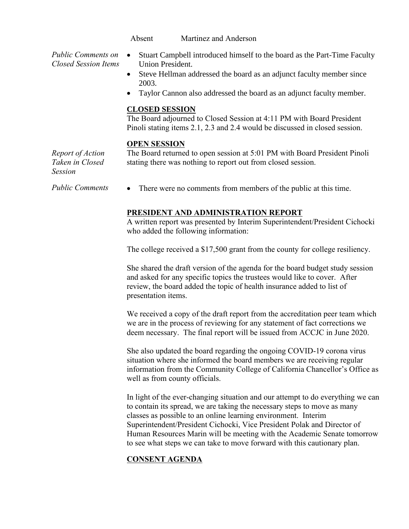Absent Martinez and Anderson

*Public Comments on Closed Session Items*

- Stuart Campbell introduced himself to the board as the Part-Time Faculty Union President.
- Steve Hellman addressed the board as an adjunct faculty member since 2003.
- Taylor Cannon also addressed the board as an adjunct faculty member.

#### **CLOSED SESSION**

The Board adjourned to Closed Session at 4:11 PM with Board President Pinoli stating items 2.1, 2.3 and 2.4 would be discussed in closed session.

### **OPEN SESSION**

*Report of Action Taken in Closed Session*

The Board returned to open session at 5:01 PM with Board President Pinoli stating there was nothing to report out from closed session.

*Public Comments* • There were no comments from members of the public at this time.

## **PRESIDENT AND ADMINISTRATION REPORT**

A written report was presented by Interim Superintendent/President Cichocki who added the following information:

The college received a \$17,500 grant from the county for college resiliency.

She shared the draft version of the agenda for the board budget study session and asked for any specific topics the trustees would like to cover. After review, the board added the topic of health insurance added to list of presentation items.

We received a copy of the draft report from the accreditation peer team which we are in the process of reviewing for any statement of fact corrections we deem necessary. The final report will be issued from ACCJC in June 2020.

She also updated the board regarding the ongoing COVID-19 corona virus situation where she informed the board members we are receiving regular information from the Community College of California Chancellor's Office as well as from county officials.

In light of the ever-changing situation and our attempt to do everything we can to contain its spread, we are taking the necessary steps to move as many classes as possible to an online learning environment. Interim Superintendent/President Cichocki, Vice President Polak and Director of Human Resources Marin will be meeting with the Academic Senate tomorrow to see what steps we can take to move forward with this cautionary plan.

## **CONSENT AGENDA**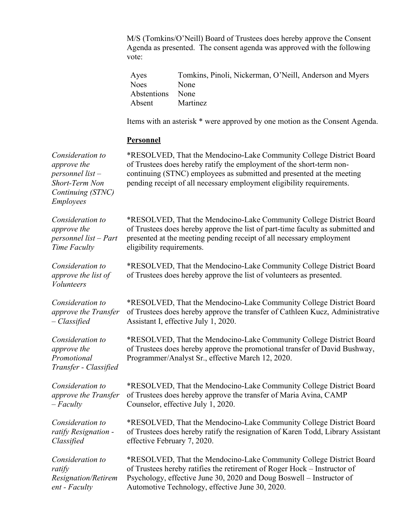M/S (Tomkins/O'Neill) Board of Trustees does hereby approve the Consent Agenda as presented. The consent agenda was approved with the following vote:

| Ayes             | Tomkins, Pinoli, Nickerman, O'Neill, Anderson and Myers |
|------------------|---------------------------------------------------------|
| Noes             | None                                                    |
| Abstentions None |                                                         |
| Absent           | Martinez                                                |

Items with an asterisk \* were approved by one motion as the Consent Agenda.

#### **Personnel**

*Consideration to approve the personnel list – Short-Term Non Continuing (STNC) Employees* \*RESOLVED, That the Mendocino-Lake Community College District Board of Trustees does hereby ratify the employment of the short-term noncontinuing (STNC) employees as submitted and presented at the meeting pending receipt of all necessary employment eligibility requirements. *Consideration to approve the personnel list – Part Time Faculty* \*RESOLVED, That the Mendocino-Lake Community College District Board of Trustees does hereby approve the list of part-time faculty as submitted and presented at the meeting pending receipt of all necessary employment eligibility requirements. *Consideration to approve the list of Volunteers* \*RESOLVED, That the Mendocino-Lake Community College District Board of Trustees does hereby approve the list of volunteers as presented. *Consideration to approve the Transfer – Classified* \*RESOLVED, That the Mendocino-Lake Community College District Board of Trustees does hereby approve the transfer of Cathleen Kucz, Administrative Assistant I, effective July 1, 2020. *Consideration to approve the Promotional Transfer - Classified* \*RESOLVED, That the Mendocino-Lake Community College District Board of Trustees does hereby approve the promotional transfer of David Bushway, Programmer/Analyst Sr., effective March 12, 2020. *Consideration to approve the Transfer – Faculty* \*RESOLVED, That the Mendocino-Lake Community College District Board of Trustees does hereby approve the transfer of Maria Avina, CAMP Counselor, effective July 1, 2020. *Consideration to ratify Resignation - Classified* \*RESOLVED, That the Mendocino-Lake Community College District Board of Trustees does hereby ratify the resignation of Karen Todd, Library Assistant effective February 7, 2020. *Consideration to ratify Resignation/Retirem ent - Faculty*  \*RESOLVED, That the Mendocino-Lake Community College District Board of Trustees hereby ratifies the retirement of Roger Hock – Instructor of Psychology, effective June 30, 2020 and Doug Boswell – Instructor of Automotive Technology, effective June 30, 2020.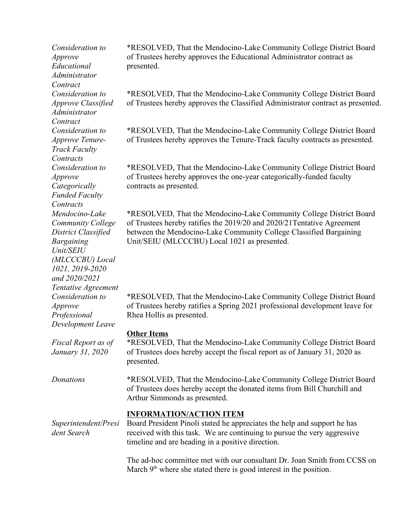*Consideration to Approve Educational Administrator Contract Consideration to Approve Classified Administrator Contract Consideration to Approve Tenure-Track Faculty Contracts Consideration to Approve Categorically Funded Faculty Contracts Mendocino-Lake Community College District Classified Bargaining Unit/SEIU (MLCCCBU) Local 1021, 2019-2020 and 2020/2021 Tentative Agreement Consideration to Approve Professional Development Leave Fiscal Report as of January 31, 2020*

\*RESOLVED, That the Mendocino-Lake Community College District Board of Trustees hereby approves the Educational Administrator contract as presented.

\*RESOLVED, That the Mendocino-Lake Community College District Board of Trustees hereby approves the Classified Administrator contract as presented.

\*RESOLVED, That the Mendocino-Lake Community College District Board of Trustees hereby approves the Tenure-Track faculty contracts as presented.

\*RESOLVED, That the Mendocino-Lake Community College District Board of Trustees hereby approves the one-year categorically-funded faculty contracts as presented.

\*RESOLVED, That the Mendocino-Lake Community College District Board of Trustees hereby ratifies the 2019/20 and 2020/21Tentative Agreement between the Mendocino-Lake Community College Classified Bargaining Unit/SEIU (MLCCCBU) Local 1021 as presented.

\*RESOLVED, That the Mendocino-Lake Community College District Board of Trustees hereby ratifies a Spring 2021 professional development leave for Rhea Hollis as presented.

## **Other Items**

\*RESOLVED, That the Mendocino-Lake Community College District Board of Trustees does hereby accept the fiscal report as of January 31, 2020 as presented.

*Donations* \*RESOLVED, That the Mendocino-Lake Community College District Board of Trustees does hereby accept the donated items from Bill Churchill and Arthur Simmonds as presented.

## **INFORMATION/ACTION ITEM**

*Superintendent/Presi dent Search* Board President Pinoli stated he appreciates the help and support he has received with this task. We are continuing to pursue the very aggressive timeline and are heading in a positive direction.

> The ad-hoc committee met with our consultant Dr. Joan Smith from CCSS on March  $9<sup>th</sup>$  where she stated there is good interest in the position.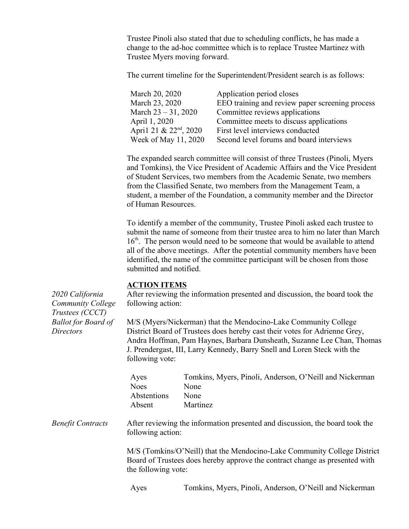Trustee Pinoli also stated that due to scheduling conflicts, he has made a change to the ad-hoc committee which is to replace Trustee Martinez with Trustee Myers moving forward.

The current timeline for the Superintendent/President search is as follows:

| March 20, 2020           | Application period closes                       |
|--------------------------|-------------------------------------------------|
| March 23, 2020           | EEO training and review paper screening process |
| March $23 - 31$ , $2020$ | Committee reviews applications                  |
| April 1, 2020            | Committee meets to discuss applications         |
| April 21 & $22nd$ , 2020 | First level interviews conducted                |
| Week of May 11, 2020     | Second level forums and board interviews        |

The expanded search committee will consist of three Trustees (Pinoli, Myers and Tomkins), the Vice President of Academic Affairs and the Vice President of Student Services, two members from the Academic Senate, two members from the Classified Senate, two members from the Management Team, a student, a member of the Foundation, a community member and the Director of Human Resources.

To identify a member of the community, Trustee Pinoli asked each trustee to submit the name of someone from their trustee area to him no later than March 16<sup>th</sup>. The person would need to be someone that would be available to attend all of the above meetings. After the potential community members have been identified, the name of the committee participant will be chosen from those submitted and notified.

#### **ACTION ITEMS**

*2020 California Community College Trustees (CCCT) Ballot for Board of* 

*Directors*

After reviewing the information presented and discussion, the board took the following action:

M/S (Myers/Nickerman) that the Mendocino-Lake Community College District Board of Trustees does hereby cast their votes for Adrienne Grey, Andra Hoffman, Pam Haynes, Barbara Dunsheath, Suzanne Lee Chan, Thomas J. Prendergast, III, Larry Kennedy, Barry Snell and Loren Steck with the following vote:

| Tomkins, Myers, Pinoli, Anderson, O'Neill and Nickerman |
|---------------------------------------------------------|
| <b>None</b>                                             |
| <b>None</b>                                             |
| <b>Martinez</b>                                         |
|                                                         |

*Benefit Contracts* After reviewing the information presented and discussion, the board took the following action:

> M/S (Tomkins/O'Neill) that the Mendocino-Lake Community College District Board of Trustees does hereby approve the contract change as presented with the following vote:

Ayes Tomkins, Myers, Pinoli, Anderson, O'Neill and Nickerman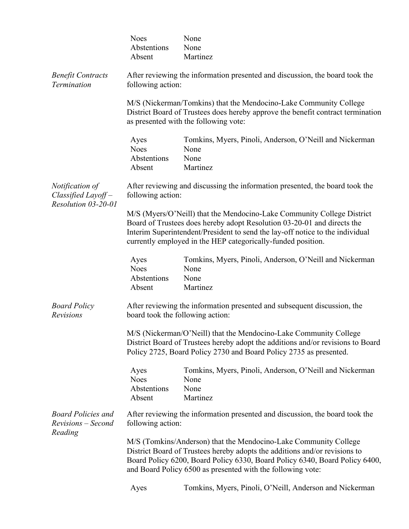|                                                              | <b>Noes</b><br>Abstentions<br>Absent                                                                                                                                                                                                                                                               | None<br>None<br>Martinez                                                                                                                                                                                                   |  |
|--------------------------------------------------------------|----------------------------------------------------------------------------------------------------------------------------------------------------------------------------------------------------------------------------------------------------------------------------------------------------|----------------------------------------------------------------------------------------------------------------------------------------------------------------------------------------------------------------------------|--|
| <b>Benefit Contracts</b><br>Termination                      | After reviewing the information presented and discussion, the board took the<br>following action:                                                                                                                                                                                                  |                                                                                                                                                                                                                            |  |
|                                                              |                                                                                                                                                                                                                                                                                                    | M/S (Nickerman/Tomkins) that the Mendocino-Lake Community College<br>District Board of Trustees does hereby approve the benefit contract termination<br>as presented with the following vote:                              |  |
|                                                              | Ayes<br><b>Noes</b><br>Abstentions<br>Absent                                                                                                                                                                                                                                                       | Tomkins, Myers, Pinoli, Anderson, O'Neill and Nickerman<br>None<br>None<br>Martinez                                                                                                                                        |  |
| Notification of<br>Classified Layoff-<br>Resolution 03-20-01 | following action:                                                                                                                                                                                                                                                                                  | After reviewing and discussing the information presented, the board took the                                                                                                                                               |  |
|                                                              | M/S (Myers/O'Neill) that the Mendocino-Lake Community College District<br>Board of Trustees does hereby adopt Resolution 03-20-01 and directs the<br>Interim Superintendent/President to send the lay-off notice to the individual<br>currently employed in the HEP categorically-funded position. |                                                                                                                                                                                                                            |  |
|                                                              | Ayes<br><b>Noes</b><br>Abstentions<br>Absent                                                                                                                                                                                                                                                       | Tomkins, Myers, Pinoli, Anderson, O'Neill and Nickerman<br>None<br>None<br>Martinez                                                                                                                                        |  |
| <b>Board Policy</b><br><b>Revisions</b>                      | board took the following action:                                                                                                                                                                                                                                                                   | After reviewing the information presented and subsequent discussion, the                                                                                                                                                   |  |
|                                                              |                                                                                                                                                                                                                                                                                                    | M/S (Nickerman/O'Neill) that the Mendocino-Lake Community College<br>District Board of Trustees hereby adopt the additions and/or revisions to Board<br>Policy 2725, Board Policy 2730 and Board Policy 2735 as presented. |  |
|                                                              | Ayes<br><b>Noes</b><br>Abstentions<br>Absent                                                                                                                                                                                                                                                       | Tomkins, Myers, Pinoli, Anderson, O'Neill and Nickerman<br>None<br>None<br>Martinez                                                                                                                                        |  |
| <b>Board Policies and</b><br>Revisions – Second<br>Reading   | After reviewing the information presented and discussion, the board took the<br>following action:                                                                                                                                                                                                  |                                                                                                                                                                                                                            |  |
|                                                              | M/S (Tomkins/Anderson) that the Mendocino-Lake Community College<br>District Board of Trustees hereby adopts the additions and/or revisions to<br>Board Policy 6200, Board Policy 6330, Board Policy 6340, Board Policy 6400,<br>and Board Policy 6500 as presented with the following vote:       |                                                                                                                                                                                                                            |  |
|                                                              | Ayes                                                                                                                                                                                                                                                                                               | Tomkins, Myers, Pinoli, O'Neill, Anderson and Nickerman                                                                                                                                                                    |  |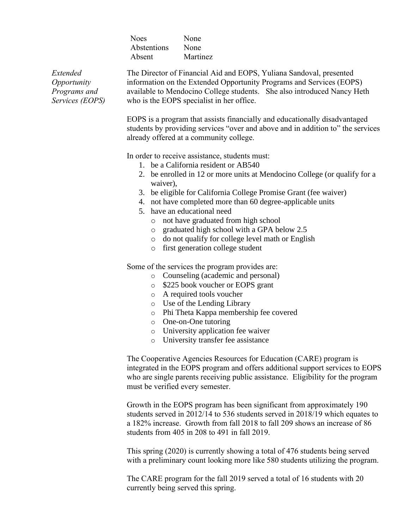| <b>Noes</b> | None     |
|-------------|----------|
| Abstentions | None     |
| Absent      | Martinez |

*Extended Opportunity Programs and Services (EOPS)* The Director of Financial Aid and EOPS, Yuliana Sandoval, presented information on the Extended Opportunity Programs and Services (EOPS) available to Mendocino College students. She also introduced Nancy Heth who is the EOPS specialist in her office.

EOPS is a program that assists financially and educationally disadvantaged students by providing services "over and above and in addition to" the services already offered at a community college.

In order to receive assistance, students must:

- 1. be a California resident or AB540
- 2. be enrolled in 12 or more units at Mendocino College (or qualify for a waiver),
- 3. be eligible for California College Promise Grant (fee waiver)
- 4. not have completed more than 60 degree-applicable units
- 5. have an educational need
	- o not have graduated from high school
	- o graduated high school with a GPA below 2.5
	- o do not qualify for college level math or English
	- o first generation college student

Some of the services the program provides are:

- o Counseling (academic and personal)
- o \$225 book voucher or EOPS grant
- o A required tools voucher
- o Use of the Lending Library
- o Phi Theta Kappa membership fee covered
- o One-on-One tutoring
- o University application fee waiver
- o University transfer fee assistance

The Cooperative Agencies Resources for Education (CARE) program is integrated in the EOPS program and offers additional support services to EOPS who are single parents receiving public assistance. Eligibility for the program must be verified every semester.

Growth in the EOPS program has been significant from approximately 190 students served in 2012/14 to 536 students served in 2018/19 which equates to a 182% increase. Growth from fall 2018 to fall 209 shows an increase of 86 students from 405 in 208 to 491 in fall 2019.

This spring (2020) is currently showing a total of 476 students being served with a preliminary count looking more like 580 students utilizing the program.

The CARE program for the fall 2019 served a total of 16 students with 20 currently being served this spring.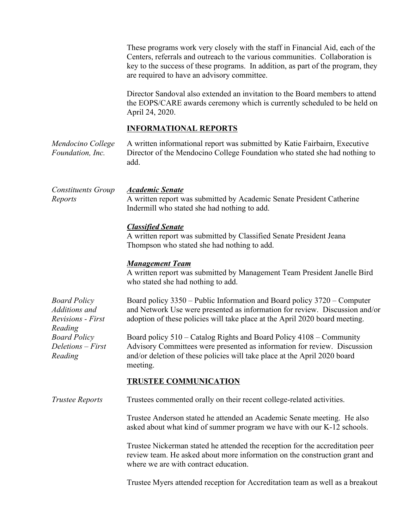|                                                                                                                                    | These programs work very closely with the staff in Financial Aid, each of the<br>Centers, referrals and outreach to the various communities. Collaboration is<br>key to the success of these programs. In addition, as part of the program, they<br>are required to have an advisory committee. |  |  |
|------------------------------------------------------------------------------------------------------------------------------------|-------------------------------------------------------------------------------------------------------------------------------------------------------------------------------------------------------------------------------------------------------------------------------------------------|--|--|
|                                                                                                                                    | Director Sandoval also extended an invitation to the Board members to attend<br>the EOPS/CARE awards ceremony which is currently scheduled to be held on<br>April 24, 2020.                                                                                                                     |  |  |
|                                                                                                                                    | <b>INFORMATIONAL REPORTS</b>                                                                                                                                                                                                                                                                    |  |  |
| Mendocino College<br>Foundation, Inc.                                                                                              | A written informational report was submitted by Katie Fairbairn, Executive<br>Director of the Mendocino College Foundation who stated she had nothing to<br>add.                                                                                                                                |  |  |
| Constituents Group<br>Reports                                                                                                      | <b>Academic Senate</b><br>A written report was submitted by Academic Senate President Catherine<br>Indermill who stated she had nothing to add.                                                                                                                                                 |  |  |
|                                                                                                                                    | <b>Classified Senate</b><br>A written report was submitted by Classified Senate President Jeana<br>Thompson who stated she had nothing to add.                                                                                                                                                  |  |  |
|                                                                                                                                    | <b>Management Team</b><br>A written report was submitted by Management Team President Janelle Bird<br>who stated she had nothing to add.                                                                                                                                                        |  |  |
| <b>Board Policy</b><br>Additions and<br><b>Revisions</b> - First<br>Reading<br><b>Board Policy</b><br>Deletions - First<br>Reading | Board policy 3350 – Public Information and Board policy 3720 – Computer<br>and Network Use were presented as information for review. Discussion and/or<br>adoption of these policies will take place at the April 2020 board meeting.                                                           |  |  |
|                                                                                                                                    | Board policy 510 – Catalog Rights and Board Policy 4108 – Community<br>Advisory Committees were presented as information for review. Discussion<br>and/or deletion of these policies will take place at the April 2020 board<br>meeting.                                                        |  |  |
|                                                                                                                                    | <b>TRUSTEE COMMUNICATION</b>                                                                                                                                                                                                                                                                    |  |  |
| <b>Trustee Reports</b>                                                                                                             | Trustees commented orally on their recent college-related activities.                                                                                                                                                                                                                           |  |  |
|                                                                                                                                    | Trustee Anderson stated he attended an Academic Senate meeting. He also<br>asked about what kind of summer program we have with our K-12 schools.                                                                                                                                               |  |  |
|                                                                                                                                    | Trustee Nickerman stated he attended the reception for the accreditation peer<br>review team. He asked about more information on the construction grant and<br>where we are with contract education.                                                                                            |  |  |
|                                                                                                                                    | Trustee Myers attended reception for Accreditation team as well as a breakout                                                                                                                                                                                                                   |  |  |